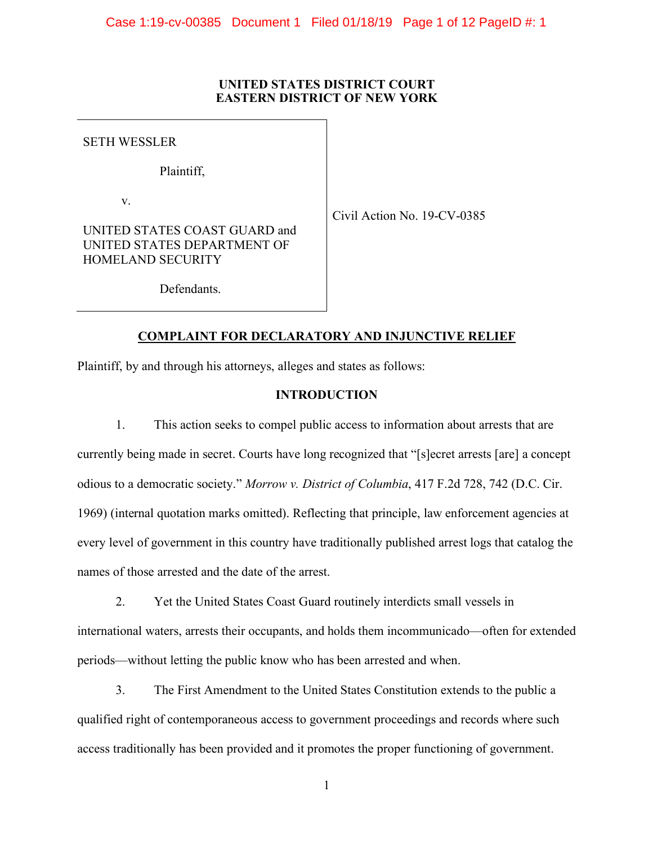# **UNITED STATES DISTRICT COURT EASTERN DISTRICT OF NEW YORK**

SETH WESSLER

Plaintiff,

v.

Civil Action No. 19-CV-0385

UNITED STATES COAST GUARD and UNITED STATES DEPARTMENT OF HOMELAND SECURITY

Defendants.

# **COMPLAINT FOR DECLARATORY AND INJUNCTIVE RELIEF**

Plaintiff, by and through his attorneys, alleges and states as follows:

# **INTRODUCTION**

1. This action seeks to compel public access to information about arrests that are currently being made in secret. Courts have long recognized that "[s]ecret arrests [are] a concept odious to a democratic society." *Morrow v. District of Columbia*, 417 F.2d 728, 742 (D.C. Cir. 1969) (internal quotation marks omitted). Reflecting that principle, law enforcement agencies at every level of government in this country have traditionally published arrest logs that catalog the names of those arrested and the date of the arrest.

2. Yet the United States Coast Guard routinely interdicts small vessels in international waters, arrests their occupants, and holds them incommunicado—often for extended periods—without letting the public know who has been arrested and when.

3. The First Amendment to the United States Constitution extends to the public a qualified right of contemporaneous access to government proceedings and records where such access traditionally has been provided and it promotes the proper functioning of government.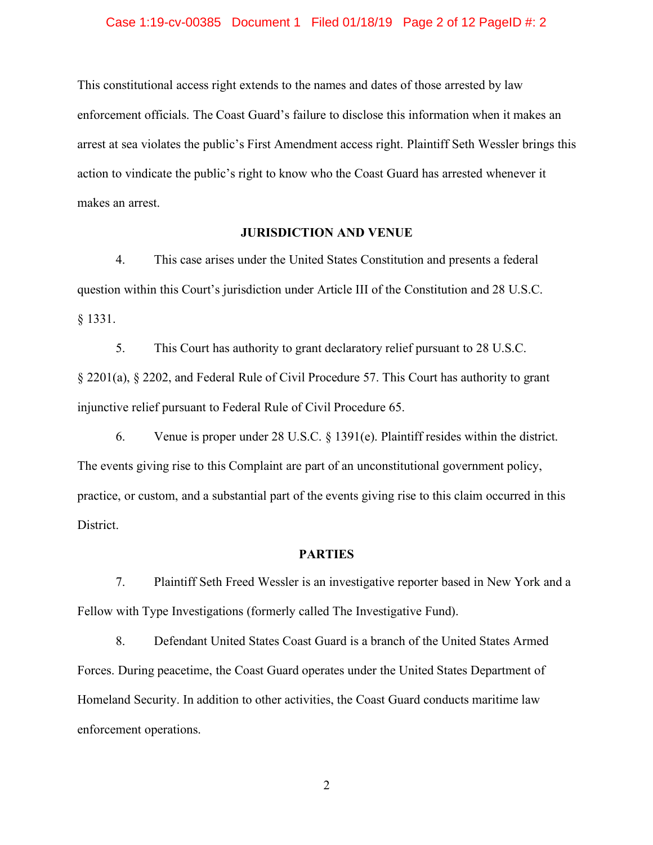## Case 1:19-cv-00385 Document 1 Filed 01/18/19 Page 2 of 12 PageID #: 2

This constitutional access right extends to the names and dates of those arrested by law enforcement officials. The Coast Guard's failure to disclose this information when it makes an arrest at sea violates the public's First Amendment access right. Plaintiff Seth Wessler brings this action to vindicate the public's right to know who the Coast Guard has arrested whenever it makes an arrest.

# **JURISDICTION AND VENUE**

4. This case arises under the United States Constitution and presents a federal question within this Court's jurisdiction under Article III of the Constitution and 28 U.S.C. § 1331.

5. This Court has authority to grant declaratory relief pursuant to 28 U.S.C. § 2201(a), § 2202, and Federal Rule of Civil Procedure 57. This Court has authority to grant injunctive relief pursuant to Federal Rule of Civil Procedure 65.

6. Venue is proper under 28 U.S.C. § 1391(e). Plaintiff resides within the district. The events giving rise to this Complaint are part of an unconstitutional government policy, practice, or custom, and a substantial part of the events giving rise to this claim occurred in this District.

## **PARTIES**

7. Plaintiff Seth Freed Wessler is an investigative reporter based in New York and a Fellow with Type Investigations (formerly called The Investigative Fund).

8. Defendant United States Coast Guard is a branch of the United States Armed Forces. During peacetime, the Coast Guard operates under the United States Department of Homeland Security. In addition to other activities, the Coast Guard conducts maritime law enforcement operations.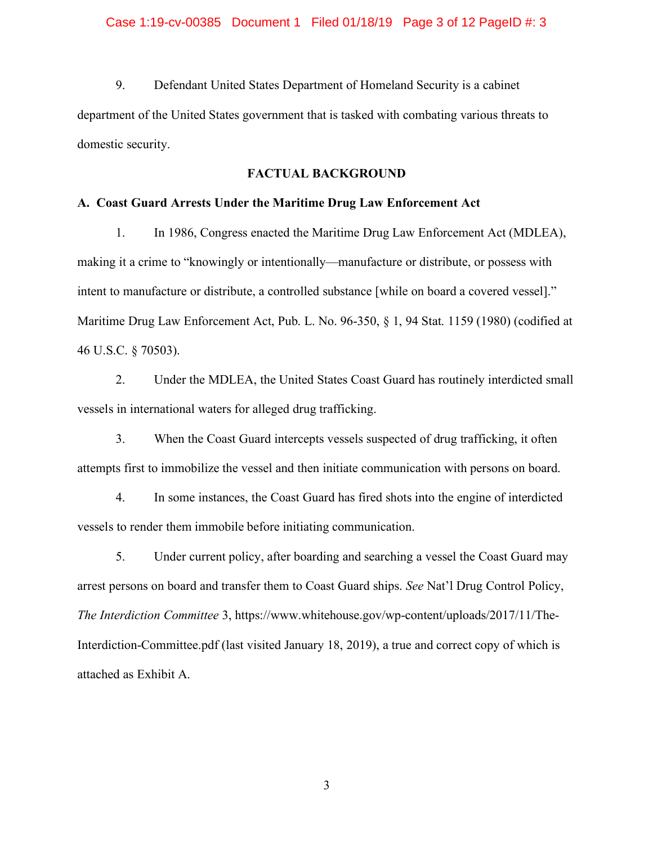## Case 1:19-cv-00385 Document 1 Filed 01/18/19 Page 3 of 12 PageID #: 3

9. Defendant United States Department of Homeland Security is a cabinet department of the United States government that is tasked with combating various threats to domestic security.

## **FACTUAL BACKGROUND**

#### **A. Coast Guard Arrests Under the Maritime Drug Law Enforcement Act**

1. In 1986, Congress enacted the Maritime Drug Law Enforcement Act (MDLEA), making it a crime to "knowingly or intentionally—manufacture or distribute, or possess with intent to manufacture or distribute, a controlled substance [while on board a covered vessel]." Maritime Drug Law Enforcement Act, Pub. L. No. 96-350, § 1, 94 Stat. 1159 (1980) (codified at 46 U.S.C. § 70503).

2. Under the MDLEA, the United States Coast Guard has routinely interdicted small vessels in international waters for alleged drug trafficking.

3. When the Coast Guard intercepts vessels suspected of drug trafficking, it often attempts first to immobilize the vessel and then initiate communication with persons on board.

4. In some instances, the Coast Guard has fired shots into the engine of interdicted vessels to render them immobile before initiating communication.

5. Under current policy, after boarding and searching a vessel the Coast Guard may arrest persons on board and transfer them to Coast Guard ships. *See* Nat'l Drug Control Policy, *The Interdiction Committee* 3, https://www.whitehouse.gov/wp-content/uploads/2017/11/The-Interdiction-Committee.pdf (last visited January 18, 2019), a true and correct copy of which is attached as Exhibit A.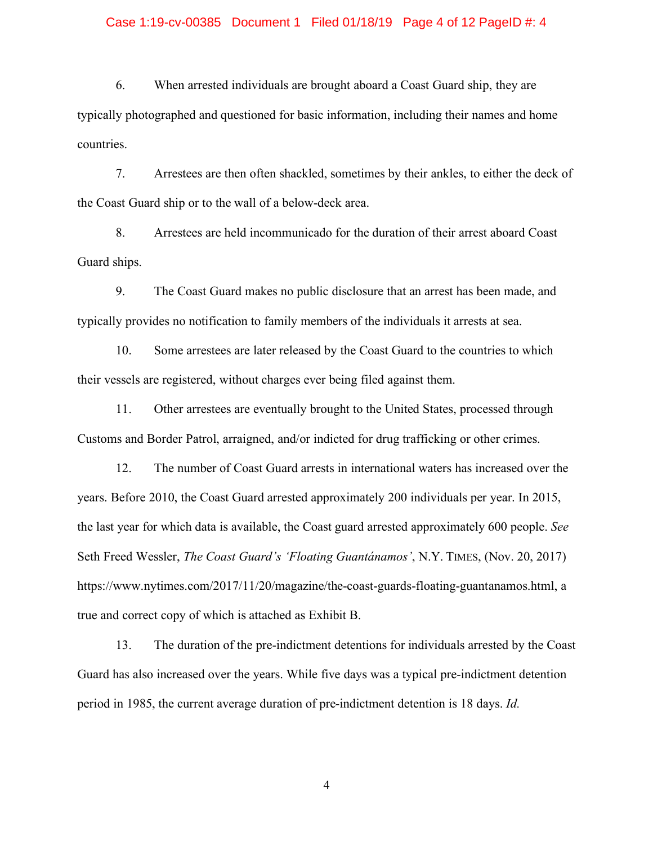## Case 1:19-cv-00385 Document 1 Filed 01/18/19 Page 4 of 12 PageID #: 4

6. When arrested individuals are brought aboard a Coast Guard ship, they are typically photographed and questioned for basic information, including their names and home countries.

7. Arrestees are then often shackled, sometimes by their ankles, to either the deck of the Coast Guard ship or to the wall of a below-deck area.

8. Arrestees are held incommunicado for the duration of their arrest aboard Coast Guard ships.

9. The Coast Guard makes no public disclosure that an arrest has been made, and typically provides no notification to family members of the individuals it arrests at sea.

10. Some arrestees are later released by the Coast Guard to the countries to which their vessels are registered, without charges ever being filed against them.

11. Other arrestees are eventually brought to the United States, processed through Customs and Border Patrol, arraigned, and/or indicted for drug trafficking or other crimes.

12. The number of Coast Guard arrests in international waters has increased over the years. Before 2010, the Coast Guard arrested approximately 200 individuals per year. In 2015, the last year for which data is available, the Coast guard arrested approximately 600 people. *See* Seth Freed Wessler, *The Coast Guard's 'Floating Guantánamos'*, N.Y. TIMES, (Nov. 20, 2017) https://www.nytimes.com/2017/11/20/magazine/the-coast-guards-floating-guantanamos.html, a true and correct copy of which is attached as Exhibit B.

13. The duration of the pre-indictment detentions for individuals arrested by the Coast Guard has also increased over the years. While five days was a typical pre-indictment detention period in 1985, the current average duration of pre-indictment detention is 18 days. *Id.*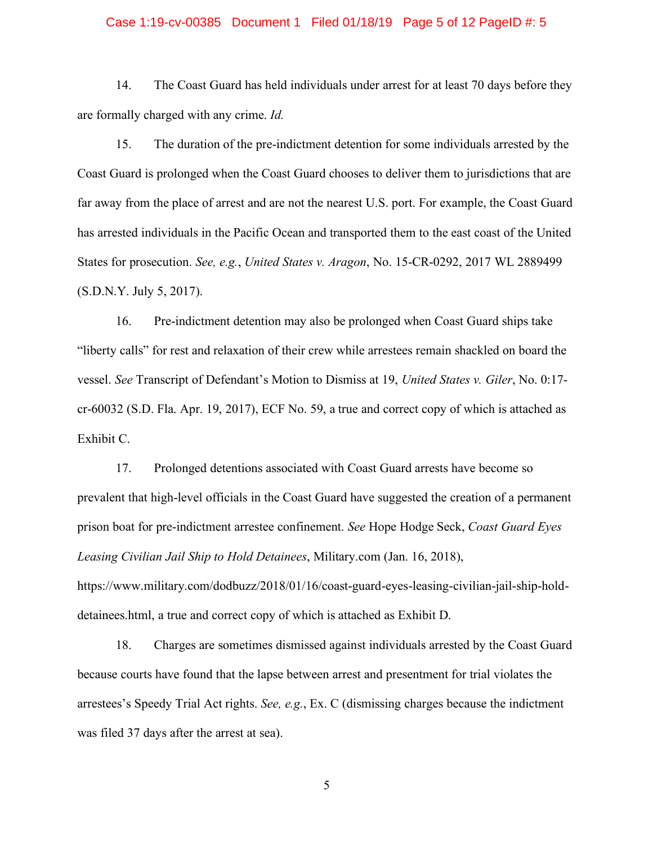## Case 1:19-cv-00385 Document 1 Filed 01/18/19 Page 5 of 12 PageID #: 5

14. The Coast Guard has held individuals under arrest for at least 70 days before they are formally charged with any crime. *Id.*

15. The duration of the pre-indictment detention for some individuals arrested by the Coast Guard is prolonged when the Coast Guard chooses to deliver them to jurisdictions that are far away from the place of arrest and are not the nearest U.S. port. For example, the Coast Guard has arrested individuals in the Pacific Ocean and transported them to the east coast of the United States for prosecution. *See, e.g.*, *United States v. Aragon*, No. 15-CR-0292, 2017 WL 2889499 (S.D.N.Y. July 5, 2017).

16. Pre-indictment detention may also be prolonged when Coast Guard ships take "liberty calls" for rest and relaxation of their crew while arrestees remain shackled on board the vessel. *See* Transcript of Defendant's Motion to Dismiss at 19, *United States v. Giler*, No. 0:17 cr-60032 (S.D. Fla. Apr. 19, 2017), ECF No. 59, a true and correct copy of which is attached as Exhibit C.

17. Prolonged detentions associated with Coast Guard arrests have become so prevalent that high-level officials in the Coast Guard have suggested the creation of a permanent prison boat for pre-indictment arrestee confinement. *See* Hope Hodge Seck, *Coast Guard Eyes Leasing Civilian Jail Ship to Hold Detainees*, Military.com (Jan. 16, 2018), https://www.military.com/dodbuzz/2018/01/16/coast-guard-eyes-leasing-civilian-jail-ship-holddetainees.html, a true and correct copy of which is attached as Exhibit D.

18. Charges are sometimes dismissed against individuals arrested by the Coast Guard because courts have found that the lapse between arrest and presentment for trial violates the arrestees's Speedy Trial Act rights. *See, e.g.*, Ex. C (dismissing charges because the indictment was filed 37 days after the arrest at sea).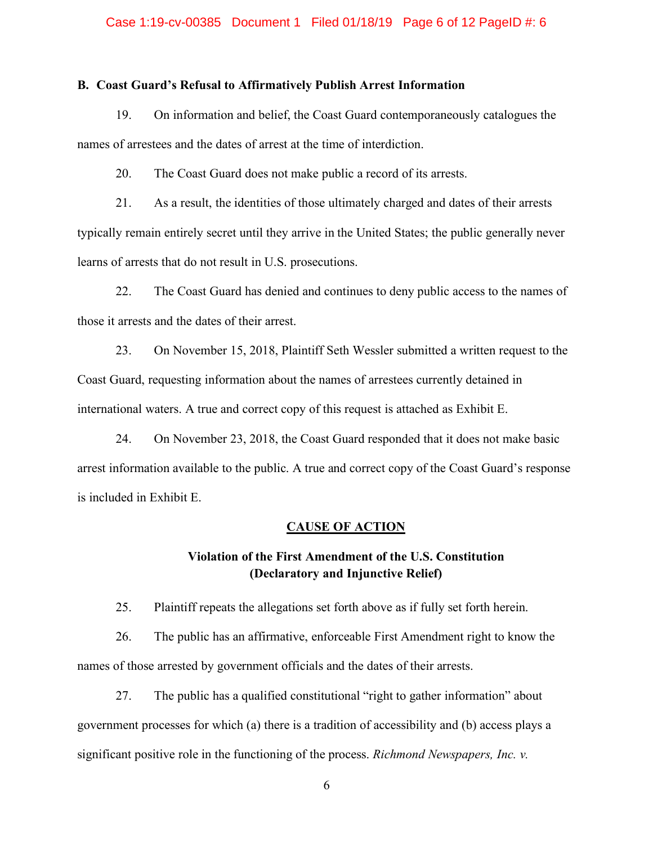#### Case 1:19-cv-00385 Document 1 Filed 01/18/19 Page 6 of 12 PageID #: 6

## **B. Coast Guard's Refusal to Affirmatively Publish Arrest Information**

19. On information and belief, the Coast Guard contemporaneously catalogues the names of arrestees and the dates of arrest at the time of interdiction.

20. The Coast Guard does not make public a record of its arrests.

21. As a result, the identities of those ultimately charged and dates of their arrests typically remain entirely secret until they arrive in the United States; the public generally never learns of arrests that do not result in U.S. prosecutions.

22. The Coast Guard has denied and continues to deny public access to the names of those it arrests and the dates of their arrest.

23. On November 15, 2018, Plaintiff Seth Wessler submitted a written request to the Coast Guard, requesting information about the names of arrestees currently detained in international waters. A true and correct copy of this request is attached as Exhibit E.

24. On November 23, 2018, the Coast Guard responded that it does not make basic arrest information available to the public. A true and correct copy of the Coast Guard's response is included in Exhibit E.

#### **CAUSE OF ACTION**

# **Violation of the First Amendment of the U.S. Constitution (Declaratory and Injunctive Relief)**

25. Plaintiff repeats the allegations set forth above as if fully set forth herein.

26. The public has an affirmative, enforceable First Amendment right to know the names of those arrested by government officials and the dates of their arrests.

27. The public has a qualified constitutional "right to gather information" about government processes for which (a) there is a tradition of accessibility and (b) access plays a significant positive role in the functioning of the process. *Richmond Newspapers, Inc. v.*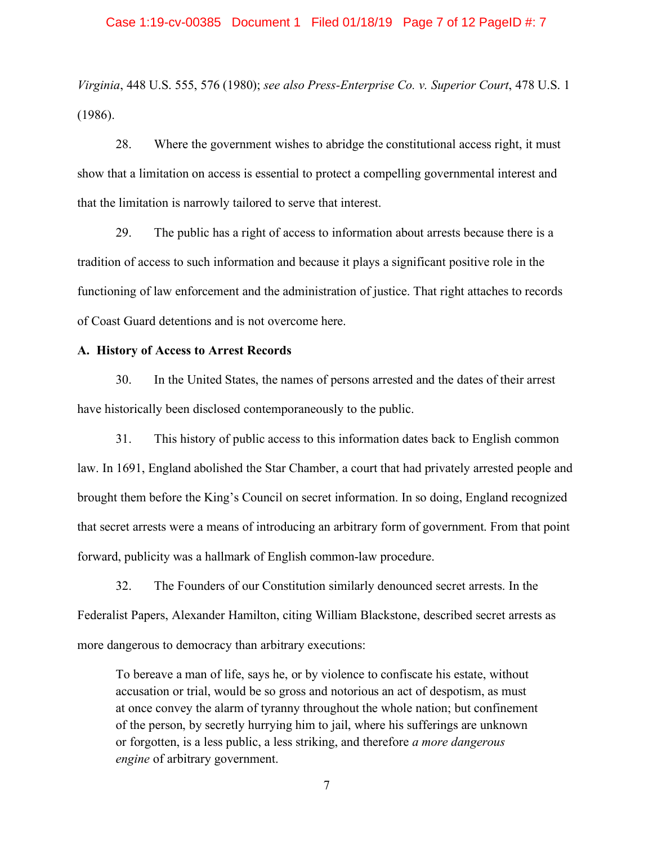## Case 1:19-cv-00385 Document 1 Filed 01/18/19 Page 7 of 12 PageID #: 7

*Virginia*, 448 U.S. 555, 576 (1980); *see also Press-Enterprise Co. v. Superior Court*, 478 U.S. 1 (1986).

28. Where the government wishes to abridge the constitutional access right, it must show that a limitation on access is essential to protect a compelling governmental interest and that the limitation is narrowly tailored to serve that interest.

29. The public has a right of access to information about arrests because there is a tradition of access to such information and because it plays a significant positive role in the functioning of law enforcement and the administration of justice. That right attaches to records of Coast Guard detentions and is not overcome here.

## **A. History of Access to Arrest Records**

30. In the United States, the names of persons arrested and the dates of their arrest have historically been disclosed contemporaneously to the public.

31. This history of public access to this information dates back to English common law. In 1691, England abolished the Star Chamber, a court that had privately arrested people and brought them before the King's Council on secret information. In so doing, England recognized that secret arrests were a means of introducing an arbitrary form of government. From that point forward, publicity was a hallmark of English common-law procedure.

32. The Founders of our Constitution similarly denounced secret arrests. In the Federalist Papers, Alexander Hamilton, citing William Blackstone, described secret arrests as more dangerous to democracy than arbitrary executions:

To bereave a man of life, says he, or by violence to confiscate his estate, without accusation or trial, would be so gross and notorious an act of despotism, as must at once convey the alarm of tyranny throughout the whole nation; but confinement of the person, by secretly hurrying him to jail, where his sufferings are unknown or forgotten, is a less public, a less striking, and therefore *a more dangerous engine* of arbitrary government.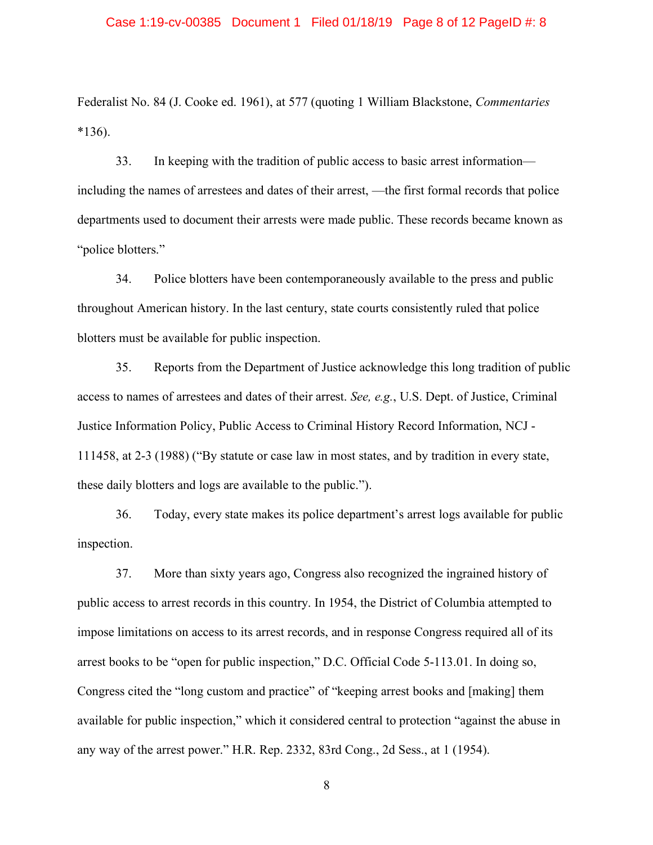#### Case 1:19-cv-00385 Document 1 Filed 01/18/19 Page 8 of 12 PageID #: 8

Federalist No. 84 (J. Cooke ed. 1961), at 577 (quoting 1 William Blackstone, *Commentaries*  $*136$ ).

33. In keeping with the tradition of public access to basic arrest information including the names of arrestees and dates of their arrest, —the first formal records that police departments used to document their arrests were made public. These records became known as "police blotters."

34. Police blotters have been contemporaneously available to the press and public throughout American history. In the last century, state courts consistently ruled that police blotters must be available for public inspection.

35. Reports from the Department of Justice acknowledge this long tradition of public access to names of arrestees and dates of their arrest. *See, e.g.*, U.S. Dept. of Justice, Criminal Justice Information Policy, Public Access to Criminal History Record Information, NCJ - 111458, at 2-3 (1988) ("By statute or case law in most states, and by tradition in every state, these daily blotters and logs are available to the public.").

36. Today, every state makes its police department's arrest logs available for public inspection.

37. More than sixty years ago, Congress also recognized the ingrained history of public access to arrest records in this country. In 1954, the District of Columbia attempted to impose limitations on access to its arrest records, and in response Congress required all of its arrest books to be "open for public inspection," D.C. Official Code 5-113.01. In doing so, Congress cited the "long custom and practice" of "keeping arrest books and [making] them available for public inspection," which it considered central to protection "against the abuse in any way of the arrest power." H.R. Rep. 2332, 83rd Cong., 2d Sess., at 1 (1954).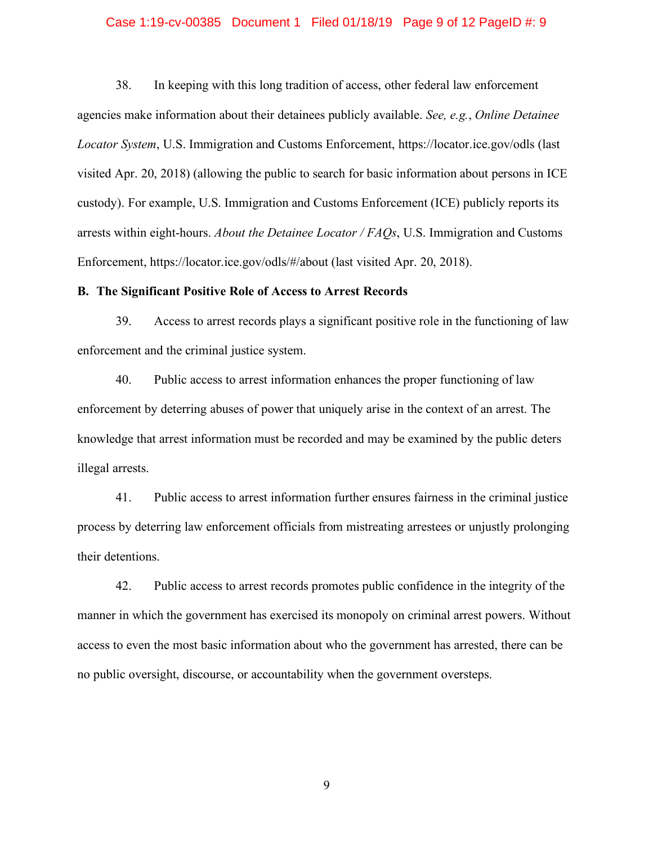## Case 1:19-cv-00385 Document 1 Filed 01/18/19 Page 9 of 12 PageID #: 9

38. In keeping with this long tradition of access, other federal law enforcement agencies make information about their detainees publicly available. *See, e.g.*, *Online Detainee Locator System*, U.S. Immigration and Customs Enforcement, https://locator.ice.gov/odls (last visited Apr. 20, 2018) (allowing the public to search for basic information about persons in ICE custody). For example, U.S. Immigration and Customs Enforcement (ICE) publicly reports its arrests within eight-hours. *About the Detainee Locator / FAQs*, U.S. Immigration and Customs Enforcement, https://locator.ice.gov/odls/#/about (last visited Apr. 20, 2018).

#### **B. The Significant Positive Role of Access to Arrest Records**

39. Access to arrest records plays a significant positive role in the functioning of law enforcement and the criminal justice system.

40. Public access to arrest information enhances the proper functioning of law enforcement by deterring abuses of power that uniquely arise in the context of an arrest. The knowledge that arrest information must be recorded and may be examined by the public deters illegal arrests.

41. Public access to arrest information further ensures fairness in the criminal justice process by deterring law enforcement officials from mistreating arrestees or unjustly prolonging their detentions.

42. Public access to arrest records promotes public confidence in the integrity of the manner in which the government has exercised its monopoly on criminal arrest powers. Without access to even the most basic information about who the government has arrested, there can be no public oversight, discourse, or accountability when the government oversteps.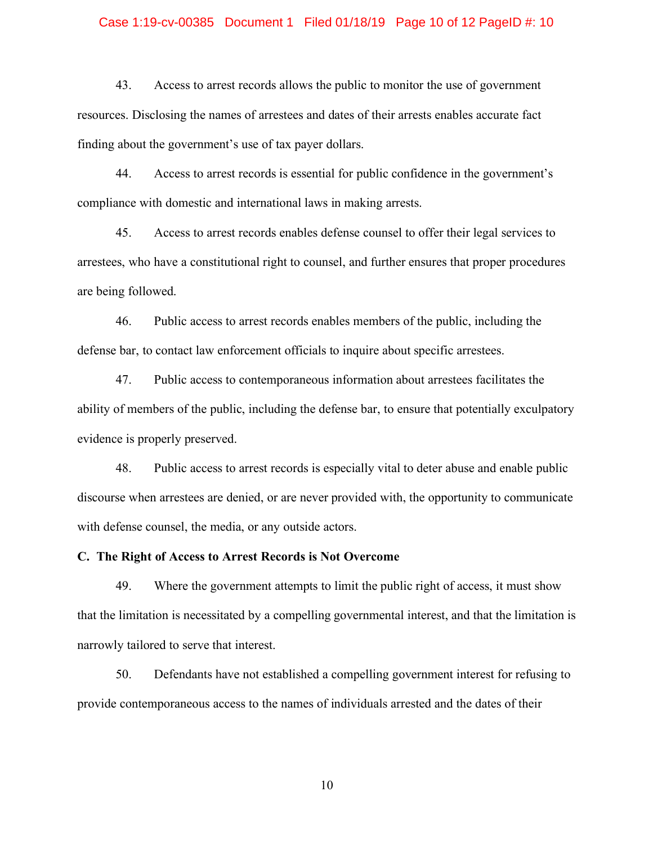#### Case 1:19-cv-00385 Document 1 Filed 01/18/19 Page 10 of 12 PageID #: 10

43. Access to arrest records allows the public to monitor the use of government resources. Disclosing the names of arrestees and dates of their arrests enables accurate fact finding about the government's use of tax payer dollars.

44. Access to arrest records is essential for public confidence in the government's compliance with domestic and international laws in making arrests.

45. Access to arrest records enables defense counsel to offer their legal services to arrestees, who have a constitutional right to counsel, and further ensures that proper procedures are being followed.

46. Public access to arrest records enables members of the public, including the defense bar, to contact law enforcement officials to inquire about specific arrestees.

47. Public access to contemporaneous information about arrestees facilitates the ability of members of the public, including the defense bar, to ensure that potentially exculpatory evidence is properly preserved.

48. Public access to arrest records is especially vital to deter abuse and enable public discourse when arrestees are denied, or are never provided with, the opportunity to communicate with defense counsel, the media, or any outside actors.

**C. The Right of Access to Arrest Records is Not Overcome** 

49. Where the government attempts to limit the public right of access, it must show that the limitation is necessitated by a compelling governmental interest, and that the limitation is narrowly tailored to serve that interest.

50. Defendants have not established a compelling government interest for refusing to provide contemporaneous access to the names of individuals arrested and the dates of their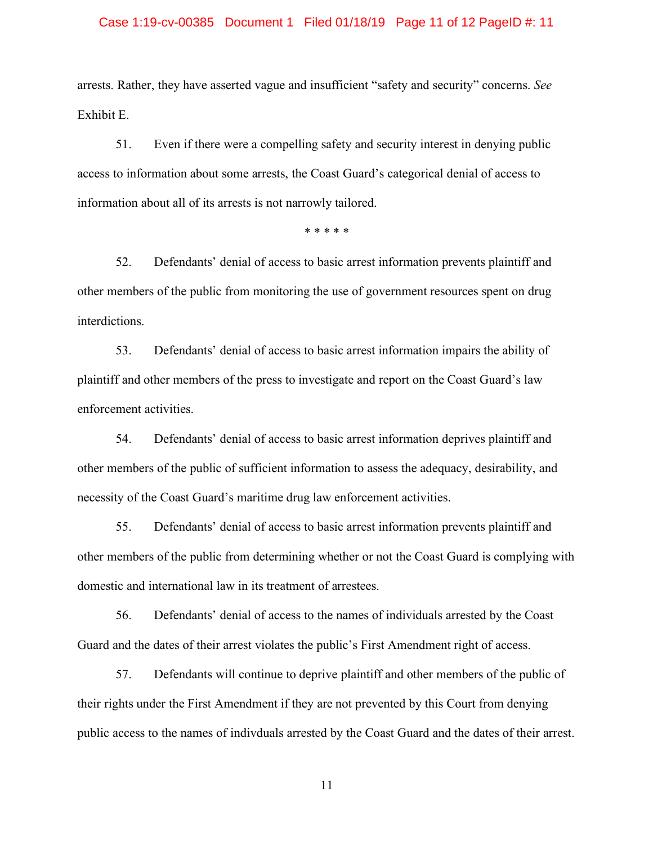# Case 1:19-cv-00385 Document 1 Filed 01/18/19 Page 11 of 12 PageID #: 11

arrests. Rather, they have asserted vague and insufficient "safety and security" concerns. *See*  Exhibit E.

51. Even if there were a compelling safety and security interest in denying public access to information about some arrests, the Coast Guard's categorical denial of access to information about all of its arrests is not narrowly tailored.

\* \* \* \* \*

52. Defendants' denial of access to basic arrest information prevents plaintiff and other members of the public from monitoring the use of government resources spent on drug interdictions.

53. Defendants' denial of access to basic arrest information impairs the ability of plaintiff and other members of the press to investigate and report on the Coast Guard's law enforcement activities.

54. Defendants' denial of access to basic arrest information deprives plaintiff and other members of the public of sufficient information to assess the adequacy, desirability, and necessity of the Coast Guard's maritime drug law enforcement activities.

55. Defendants' denial of access to basic arrest information prevents plaintiff and other members of the public from determining whether or not the Coast Guard is complying with domestic and international law in its treatment of arrestees.

56. Defendants' denial of access to the names of individuals arrested by the Coast Guard and the dates of their arrest violates the public's First Amendment right of access.

57. Defendants will continue to deprive plaintiff and other members of the public of their rights under the First Amendment if they are not prevented by this Court from denying public access to the names of indivduals arrested by the Coast Guard and the dates of their arrest.